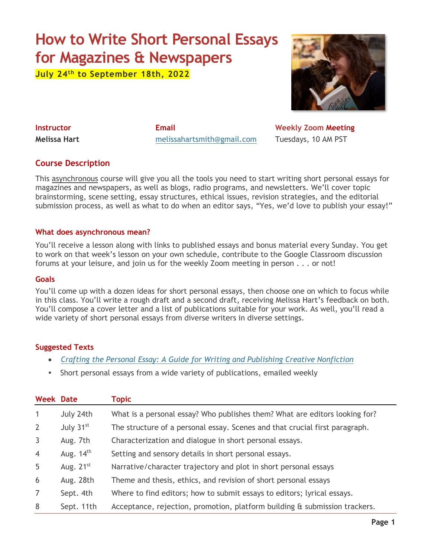# **How to Write Short Personal Essays for Magazines & Newspapers**

**July 24th to September 18th, 2022**



**Instructor Email Email Weekly Zoom Meeting Melissa Hart** [melissahartsmith@gmail.com](mailto:melissahartsmith@gmail.com) Tuesdays, 10 AM PST

# **Course Description**

This asynchronous course will give you all the tools you need to start writing short personal essays for magazines and newspapers, as well as blogs, radio programs, and newsletters. We'll cover topic brainstorming, scene setting, essay structures, ethical issues, revision strategies, and the editorial submission process, as well as what to do when an editor says, "Yes, we'd love to publish your essay!"

#### **What does asynchronous mean?**

You'll receive a lesson along with links to published essays and bonus material every Sunday. You get to work on that week's lesson on your own schedule, contribute to the Google Classroom discussion forums at your leisure, and join us for the weekly Zoom meeting in person . . . or not!

#### **Goals**

You'll come up with a dozen ideas for short personal essays, then choose one on which to focus while in this class. You'll write a rough draft and a second draft, receiving Melissa Hart's feedback on both. You'll compose a cover letter and a list of publications suitable for your work. As well, you'll read a wide variety of short personal essays from diverse writers in diverse settings.

#### **Suggested Texts**

- *Crafting the Personal Essay: A [Guide for Writing and Publishing Creative Nonfiction](https://www.indiebound.org/book/9781582977966)*
- Short personal essays from a wide variety of publications, emailed weekly

| <b>Week Date</b> |                | <b>Topic</b>                                                                |
|------------------|----------------|-----------------------------------------------------------------------------|
| $\mathbf{1}$     | July 24th      | What is a personal essay? Who publishes them? What are editors looking for? |
| $\overline{2}$   | July 31st      | The structure of a personal essay. Scenes and that crucial first paragraph. |
| $\mathbf{3}$     | Aug. 7th       | Characterization and dialogue in short personal essays.                     |
| $\overline{4}$   | Aug. $14th$    | Setting and sensory details in short personal essays.                       |
| 5                | Aug. $21^{st}$ | Narrative/character trajectory and plot in short personal essays            |
| 6                | Aug. 28th      | Theme and thesis, ethics, and revision of short personal essays             |
| $\overline{7}$   | Sept. 4th      | Where to find editors; how to submit essays to editors; lyrical essays.     |
| 8                | Sept. 11th     | Acceptance, rejection, promotion, platform building & submission trackers.  |